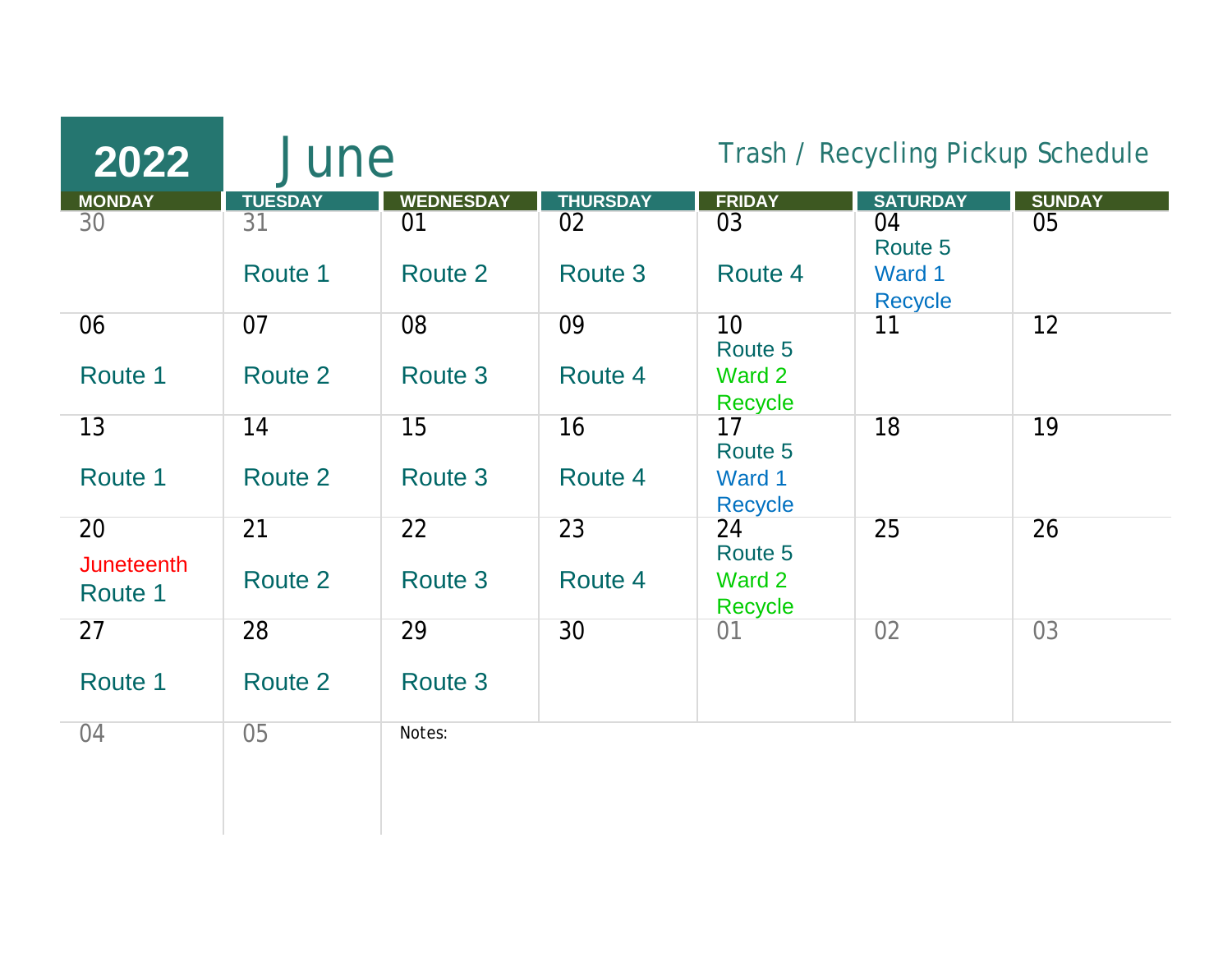| 2022                    | June            |                  |                 | Trash / Recycling Pickup Schedule |                         |               |
|-------------------------|-----------------|------------------|-----------------|-----------------------------------|-------------------------|---------------|
| <b>MONDAY</b>           | <b>TUESDAY</b>  | <b>WEDNESDAY</b> | <b>THURSDAY</b> | <b>FRIDAY</b>                     | <b>SATURDAY</b>         | <b>SUNDAY</b> |
| 30                      | 31<br>Route 1   | 01<br>Route 2    | 02<br>Route 3   | 03<br>Route 4                     | 04<br>Route 5<br>Ward 1 | 05            |
|                         |                 |                  |                 |                                   | <b>Recycle</b>          |               |
| 06<br>Route 1           | 07<br>Route 2   | 08<br>Route 3    | 09<br>Route 4   | 10<br>Route 5<br>Ward 2           | 11                      | 12            |
|                         |                 |                  |                 | Recycle                           |                         |               |
| 13                      | 14              | 15               | 16              | 17<br>Route 5                     | 18                      | 19            |
| Route 1                 | Route 2         | Route 3          | Route 4         | Ward 1<br><b>Recycle</b>          |                         |               |
| 20<br><b>Juneteenth</b> | $\overline{21}$ | 22               | 23              | 24<br>Route 5                     | 25                      | 26            |
| Route 1                 | Route 2         | Route 3          | Route 4         | Ward 2<br><b>Recycle</b>          |                         |               |
| 27                      | 28              | 29               | 30              | 01                                | 02                      | 03            |
| Route 1                 | Route 2         | Route 3          |                 |                                   |                         |               |
| 04                      | 05              | Notes:           |                 |                                   |                         |               |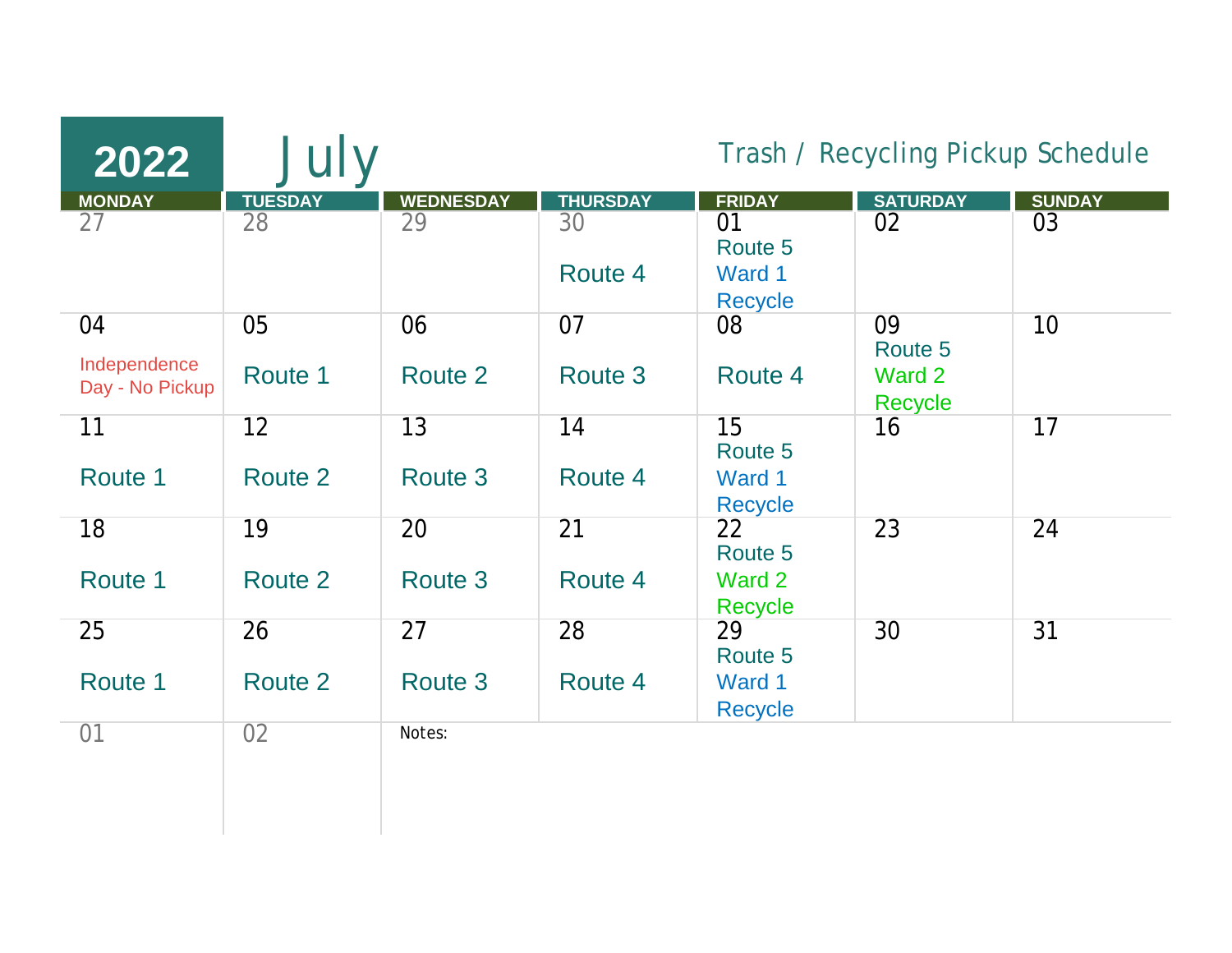| 2022                            | July           |                  |                 | Trash / Recycling Pickup Schedule |                          |               |
|---------------------------------|----------------|------------------|-----------------|-----------------------------------|--------------------------|---------------|
| <b>MONDAY</b>                   | <b>TUESDAY</b> | <b>WEDNESDAY</b> | <b>THURSDAY</b> | <b>FRIDAY</b>                     | <b>SATURDAY</b>          | <b>SUNDAY</b> |
| 27                              | 28             | 29               | 30              | 01<br>Route 5                     | 02                       | 03            |
|                                 |                |                  | Route 4         | Ward 1<br><b>Recycle</b>          |                          |               |
| 04                              | 05             | 06               | 07              | 08                                | 09<br>Route 5            | 10            |
| Independence<br>Day - No Pickup | Route 1        | Route 2          | Route 3         | Route 4                           | Ward 2<br><b>Recycle</b> |               |
| 11                              | 12             | 13               | 14              | 15<br>Route 5                     | 16                       | 17            |
| Route 1                         | Route 2        | Route 3          | Route 4         | Ward 1<br><b>Recycle</b>          |                          |               |
| 18                              | 19             | 20               | 21              | 22<br>Route 5                     | 23                       | 24            |
| Route 1                         | Route 2        | Route 3          | Route 4         | Ward 2<br>Recycle                 |                          |               |
| 25                              | 26             | $\overline{27}$  | 28              | 29<br>Route 5                     | 30                       | 31            |
| Route 1                         | Route 2        | Route 3          | Route 4         | Ward 1<br><b>Recycle</b>          |                          |               |
| 01                              | 02             | Notes:           |                 |                                   |                          |               |